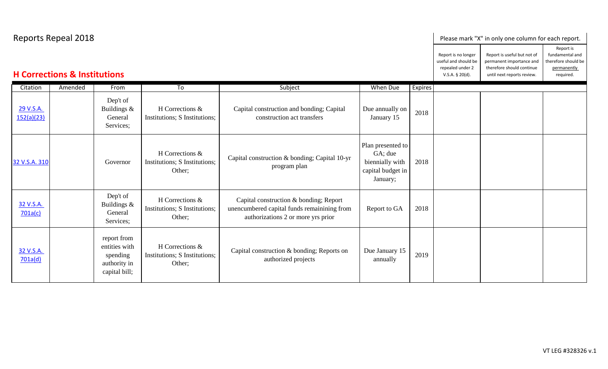| <b>Reports Repeal 2018</b>              |         |                                                                           |                                                            |                                                                                                                             |                                                                                  |         | Please mark "X" in only one column for each report. |                                                                                                                    |                                                                                 |
|-----------------------------------------|---------|---------------------------------------------------------------------------|------------------------------------------------------------|-----------------------------------------------------------------------------------------------------------------------------|----------------------------------------------------------------------------------|---------|-----------------------------------------------------|--------------------------------------------------------------------------------------------------------------------|---------------------------------------------------------------------------------|
| <b>H Corrections &amp; Institutions</b> |         |                                                                           |                                                            |                                                                                                                             |                                                                                  |         |                                                     | Report is useful but not of<br>permanent importance and<br>therefore should continue<br>until next reports review. | Report is<br>fundamental and<br>therefore should be<br>permanently<br>required. |
| Citation                                | Amended | From                                                                      | To                                                         | Subject                                                                                                                     | When Due                                                                         | Expires |                                                     |                                                                                                                    |                                                                                 |
| 29 V.S.A.<br>152(a)(23)                 |         | Dep't of<br>Buildings &<br>General<br>Services;                           | H Corrections &<br>Institutions; S Institutions;           | Capital construction and bonding; Capital<br>construction act transfers                                                     | Due annually on<br>January 15                                                    | 2018    |                                                     |                                                                                                                    |                                                                                 |
| 32 V.S.A. 310                           |         | Governor                                                                  | H Corrections &<br>Institutions; S Institutions;<br>Other; | Capital construction & bonding; Capital 10-yr<br>program plan                                                               | Plan presented to<br>GA; due<br>biennially with<br>capital budget in<br>January; | 2018    |                                                     |                                                                                                                    |                                                                                 |
| 32 V.S.A.<br>701a(c)                    |         | Dep't of<br>Buildings &<br>General<br>Services;                           | H Corrections &<br>Institutions; S Institutions;<br>Other; | Capital construction & bonding; Report<br>unencumbered capital funds remainining from<br>authorizations 2 or more yrs prior | Report to GA                                                                     | 2018    |                                                     |                                                                                                                    |                                                                                 |
| 32 V.S.A.<br>701a(d)                    |         | report from<br>entities with<br>spending<br>authority in<br>capital bill; | H Corrections &<br>Institutions; S Institutions;<br>Other; | Capital construction & bonding; Reports on<br>authorized projects                                                           | Due January 15<br>annually                                                       | 2019    |                                                     |                                                                                                                    |                                                                                 |